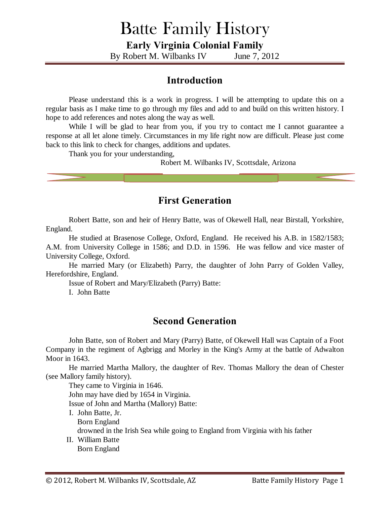# Batte Family History

**Early Virginia Colonial Family**

By Robert M. Wilbanks IV June 7, 2012

### **Introduction**

Please understand this is a work in progress. I will be attempting to update this on a regular basis as I make time to go through my files and add to and build on this written history. I hope to add references and notes along the way as well.

While I will be glad to hear from you, if you try to contact me I cannot guarantee a response at all let alone timely. Circumstances in my life right now are difficult. Please just come back to this link to check for changes, additions and updates.

Thank you for your understanding,

Robert M. Wilbanks IV, Scottsdale, Arizona

### **First Generation**

Robert Batte, son and heir of Henry Batte, was of Okewell Hall, near Birstall, Yorkshire, England.

He studied at Brasenose College, Oxford, England. He received his A.B. in 1582/1583; A.M. from University College in 1586; and D.D. in 1596. He was fellow and vice master of University College, Oxford.

He married Mary (or Elizabeth) Parry, the daughter of John Parry of Golden Valley, Herefordshire, England.

Issue of Robert and Mary/Elizabeth (Parry) Batte:

I. John Batte

#### **Second Generation**

John Batte, son of Robert and Mary (Parry) Batte, of Okewell Hall was Captain of a Foot Company in the regiment of Agbrigg and Morley in the King's Army at the battle of Adwalton Moor in 1643.

He married Martha Mallory, the daughter of Rev. Thomas Mallory the dean of Chester (see Mallory family history).

They came to Virginia in 1646. John may have died by 1654 in Virginia. Issue of John and Martha (Mallory) Batte:

- I. John Batte, Jr. Born England drowned in the Irish Sea while going to England from Virginia with his father II. William Batte
- Born England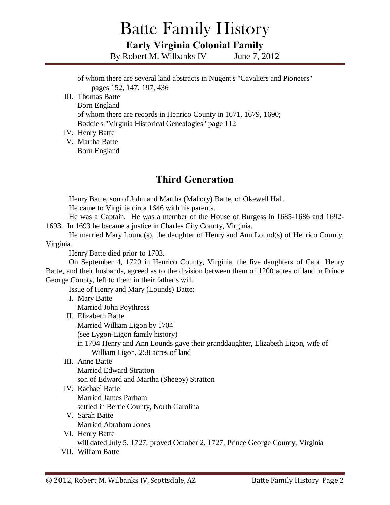# Batte Family History **Early Virginia Colonial Family**

By Robert M. Wilbanks IV June 7, 2012

of whom there are several land abstracts in Nugent's "Cavaliers and Pioneers" pages 152, 147, 197, 436

III. Thomas Batte Born England of whom there are records in Henrico County in 1671, 1679, 1690; Boddie's "Virginia Historical Genealogies" page 112

#### IV. Henry Batte

V. Martha Batte Born England

### **Third Generation**

Henry Batte, son of John and Martha (Mallory) Batte, of Okewell Hall. He came to Virginia circa 1646 with his parents.

He was a Captain. He was a member of the House of Burgess in 1685-1686 and 1692- 1693. In 1693 he became a justice in Charles City County, Virginia.

He married Mary Lound(s), the daughter of Henry and Ann Lound(s) of Henrico County, Virginia.

Henry Batte died prior to 1703.

On September 4, 1720 in Henrico County, Virginia, the five daughters of Capt. Henry Batte, and their husbands, agreed as to the division between them of 1200 acres of land in Prince George County, left to them in their father's will.

Issue of Henry and Mary (Lounds) Batte:

- I. Mary Batte Married John Poythress
- II. Elizabeth Batte

Married William Ligon by 1704

(see Lygon-Ligon family history)

in 1704 Henry and Ann Lounds gave their granddaughter, Elizabeth Ligon, wife of William Ligon, 258 acres of land

#### III. Anne Batte

Married Edward Stratton son of Edward and Martha (Sheepy) Stratton

- IV. Rachael Batte Married James Parham settled in Bertie County, North Carolina
- V. Sarah Batte Married Abraham Jones
- VI. Henry Batte will dated July 5, 1727, proved October 2, 1727, Prince George County, Virginia
- VII. William Batte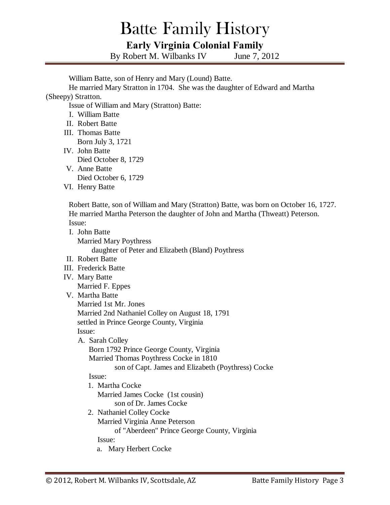# Batte Family History **Early Virginia Colonial Family**

By Robert M. Wilbanks IV June 7, 2012

William Batte, son of Henry and Mary (Lound) Batte.

He married Mary Stratton in 1704. She was the daughter of Edward and Martha (Sheepy) Stratton.

Issue of William and Mary (Stratton) Batte:

- I. William Batte
- II. Robert Batte
- III. Thomas Batte Born July 3, 1721
- IV. John Batte Died October 8, 1729
- V. Anne Batte Died October 6, 1729
- VI. Henry Batte

Robert Batte, son of William and Mary (Stratton) Batte, was born on October 16, 1727. He married Martha Peterson the daughter of John and Martha (Thweatt) Peterson. Issue:

- I. John Batte Married Mary Poythress daughter of Peter and Elizabeth (Bland) Poythress
- II. Robert Batte
- III. Frederick Batte
- IV. Mary Batte

Married F. Eppes

V. Martha Batte

Married 1st Mr. Jones

Married 2nd Nathaniel Colley on August 18, 1791

settled in Prince George County, Virginia

Issue:

A. Sarah Colley

Born 1792 Prince George County, Virginia Married Thomas Poythress Cocke in 1810

son of Capt. James and Elizabeth (Poythress) Cocke

#### Issue:

- 1. Martha Cocke Married James Cocke (1st cousin) son of Dr. James Cocke
- 2. Nathaniel Colley Cocke Married Virginia Anne Peterson of "Aberdeen" Prince George County, Virginia Issue:
	- a. Mary Herbert Cocke